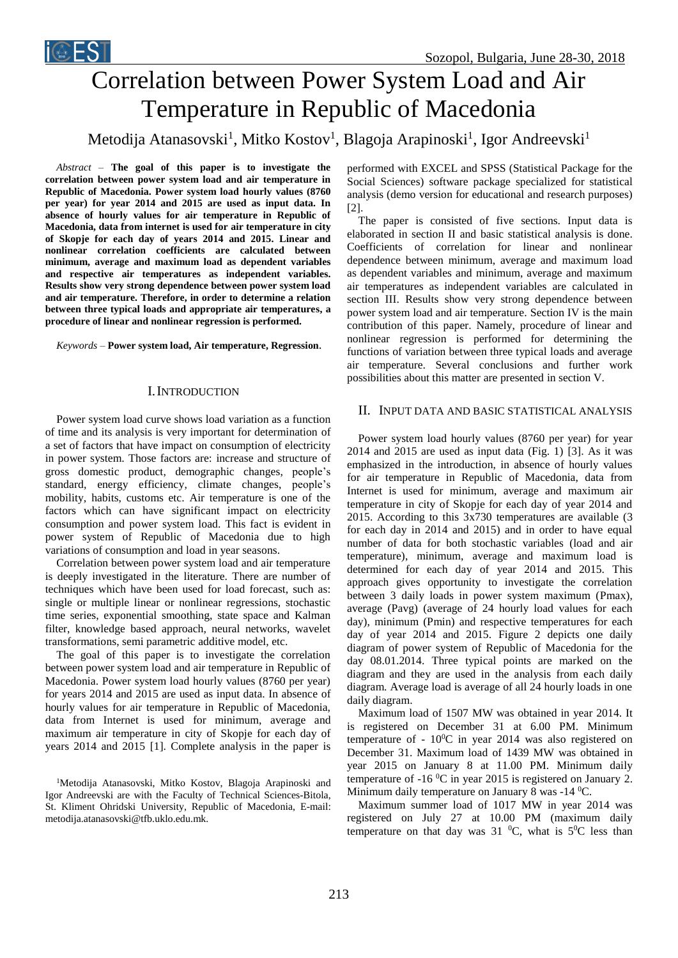# Correlation between Power System Load and Air Temperature in Republic of Macedonia

Metodija Atanasovski<sup>1</sup>, Mitko Kostov<sup>1</sup>, Blagoja Arapinoski<sup>1</sup>, Igor Andreevski<sup>1</sup>

*Abstract –* **The goal of this paper is to investigate the correlation between power system load and air temperature in Republic of Macedonia. Power system load hourly values (8760 per year) for year 2014 and 2015 are used as input data. In absence of hourly values for air temperature in Republic of Macedonia, data from internet is used for air temperature in city of Skopje for each day of years 2014 and 2015. Linear and nonlinear correlation coefficients are calculated between minimum, average and maximum load as dependent variables and respective air temperatures as independent variables. Results show very strong dependence between power system load and air temperature. Therefore, in order to determine a relation between three typical loads and appropriate air temperatures, a procedure of linear and nonlinear regression is performed.**

*Keywords –* **Power system load, Air temperature, Regression**.

## I.INTRODUCTION

Power system load curve shows load variation as a function of time and its analysis is very important for determination of a set of factors that have impact on consumption of electricity in power system. Those factors are: increase and structure of gross domestic product, demographic changes, people's standard, energy efficiency, climate changes, people's mobility, habits, customs etc. Air temperature is one of the factors which can have significant impact on electricity consumption and power system load. This fact is evident in power system of Republic of Macedonia due to high variations of consumption and load in year seasons.

Correlation between power system load and air temperature is deeply investigated in the literature. There are number of techniques which have been used for load forecast, such as: single or multiple linear or nonlinear regressions, stochastic time series, exponential smoothing, state space and Kalman filter, knowledge based approach, neural networks, wavelet transformations, semi parametric additive model, etc.

The goal of this paper is to investigate the correlation between power system load and air temperature in Republic of Macedonia. Power system load hourly values (8760 per year) for years 2014 and 2015 are used as input data. In absence of hourly values for air temperature in Republic of Macedonia, data from Internet is used for minimum, average and maximum air temperature in city of Skopje for each day of years 2014 and 2015 [1]. Complete analysis in the paper is

<sup>1</sup>Metodija Atanasovski, Mitko Kostov, Blagoja Arapinoski and Igor Andreevski are with the Faculty of Technical Sciences-Bitola, St. Kliment Ohridski University, Republic of Macedonia, E-mail: metodija.atanasovski@tfb.uklo.edu.mk.

performed with EXCEL and SPSS (Statistical Package for the Social Sciences) software package specialized for statistical analysis (demo version for educational and research purposes) [2].

The paper is consisted of five sections. Input data is elaborated in section II and basic statistical analysis is done. Coefficients of correlation for linear and nonlinear dependence between minimum, average and maximum load as dependent variables and minimum, average and maximum air temperatures as independent variables are calculated in section III. Results show very strong dependence between power system load and air temperature. Section IV is the main contribution of this paper. Namely, procedure of linear and nonlinear regression is performed for determining the functions of variation between three typical loads and average air temperature. Several conclusions and further work possibilities about this matter are presented in section V.

## II. INPUT DATA AND BASIC STATISTICAL ANALYSIS

Power system load hourly values (8760 per year) for year 2014 and 2015 are used as input data (Fig. 1) [3]. As it was emphasized in the introduction, in absence of hourly values for air temperature in Republic of Macedonia, data from Internet is used for minimum, average and maximum air temperature in city of Skopje for each day of year 2014 and 2015. According to this 3x730 temperatures are available (3 for each day in 2014 and 2015) and in order to have equal number of data for both stochastic variables (load and air temperature), minimum, average and maximum load is determined for each day of year 2014 and 2015. This approach gives opportunity to investigate the correlation between 3 daily loads in power system maximum (Pmax), average (Pavg) (average of 24 hourly load values for each day), minimum (Pmin) and respective temperatures for each day of year 2014 and 2015. Figure 2 depicts one daily diagram of power system of Republic of Macedonia for the day 08.01.2014. Three typical points are marked on the diagram and they are used in the analysis from each daily diagram. Average load is average of all 24 hourly loads in one daily diagram.

Maximum load of 1507 MW was obtained in year 2014. It is registered on December 31 at 6.00 PM. Minimum temperature of -  $10^{0}$ C in year 2014 was also registered on December 31. Maximum load of 1439 MW was obtained in year 2015 on January 8 at 11.00 PM. Minimum daily temperature of  $-16\degree$ C in year 2015 is registered on January 2. Minimum daily temperature on January 8 was -14  $^0C$ .

Maximum summer load of 1017 MW in year 2014 was registered on July 27 at 10.00 PM (maximum daily temperature on that day was  $31\text{ °C}$ , what is  $5\text{ °C}$  less than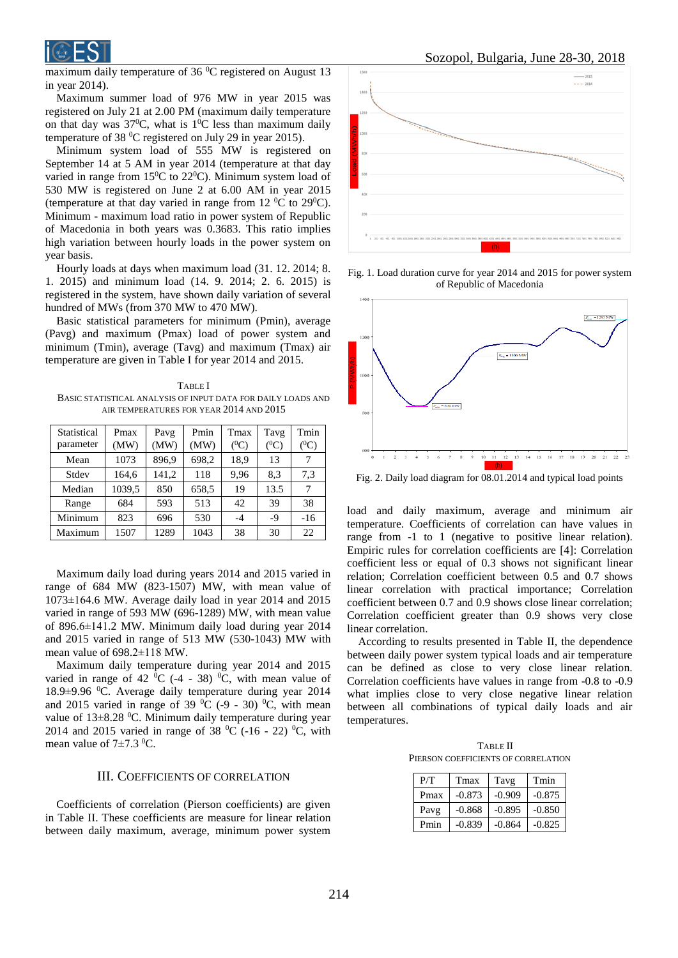

maximum daily temperature of 36 $\mathrm{^{0}C}$  registered on August 13 in year 2014).

Maximum summer load of 976 MW in year 2015 was registered on July 21 at 2.00 PM (maximum daily temperature on that day was  $37^{\circ}$ C, what is  $1^{\circ}$ C less than maximum daily temperature of 38 <sup>0</sup>C registered on July 29 in year 2015).

Minimum system load of 555 MW is registered on September 14 at 5 AM in year 2014 (temperature at that day varied in range from  $15^{\circ}$ C to  $22^{\circ}$ C). Minimum system load of 530 MW is registered on June 2 at 6.00 AM in year 2015 (temperature at that day varied in range from 12  $^0C$  to 29 $^0C$ ). Minimum - maximum load ratio in power system of Republic of Macedonia in both years was 0.3683. This ratio implies high variation between hourly loads in the power system on year basis.

Hourly loads at days when maximum load (31. 12. 2014; 8. 1. 2015) and minimum load (14. 9. 2014; 2. 6. 2015) is registered in the system, have shown daily variation of several hundred of MWs (from 370 MW to 470 MW).

Basic statistical parameters for minimum (Pmin), average (Pavg) and maximum (Pmax) load of power system and minimum (Tmin), average (Tavg) and maximum (Tmax) air temperature are given in Table I for year 2014 and 2015.

TABLE I BASIC STATISTICAL ANALYSIS OF INPUT DATA FOR DAILY LOADS AND AIR TEMPERATURES FOR YEAR 2014 AND 2015

| Statistical<br>parameter | Pmax<br>(MW) | Pavg<br>(MW) | Pmin<br>(MW) | Tmax<br>$(^0C)$ | Tavg<br>$(^0C)$ | Tmin<br>$(^0C)$ |
|--------------------------|--------------|--------------|--------------|-----------------|-----------------|-----------------|
| Mean                     | 1073         | 896.9        | 698,2        | 18.9            | 13              | 7               |
| Stdev                    | 164,6        | 141,2        | 118          | 9,96            | 8.3             | 7,3             |
| Median                   | 1039,5       | 850          | 658.5        | 19              | 13.5            | 7               |
| Range                    | 684          | 593          | 513          | 42              | 39              | 38              |
| Minimum                  | 823          | 696          | 530          | -4              | $-9$            | $-16$           |
| Maximum                  | 1507         | 1289         | 1043         | 38              | 30              | 22              |

Maximum daily load during years 2014 and 2015 varied in range of 684 MW (823-1507) MW, with mean value of 1073±164.6 MW. Average daily load in year 2014 and 2015 varied in range of 593 MW (696-1289) MW, with mean value of 896.6±141.2 MW. Minimum daily load during year 2014 and 2015 varied in range of 513 MW (530-1043) MW with mean value of 698.2±118 MW.

Maximum daily temperature during year 2014 and 2015 varied in range of 42  $^{0}C$  (-4 - 38)  $^{0}C$ , with mean value of  $18.9\pm9.96$  °C. Average daily temperature during year 2014 and 2015 varied in range of 39  $^0C$  (-9 - 30)  $^0C$ , with mean value of  $13\pm8.28$  °C. Minimum daily temperature during year 2014 and 2015 varied in range of 38  $^{\circ}$ C (-16 - 22)  $^{\circ}$ C, with mean value of  $7\pm7.3$  <sup>0</sup>C.

# III. COEFFICIENTS OF CORRELATION

Coefficients of correlation (Pierson coefficients) are given in Table II. These coefficients are measure for linear relation between daily maximum, average, minimum power system



Fig. 1. Load duration curve for year 2014 and 2015 for power system of Republic of Macedonia



Fig. 2. Daily load diagram for 08.01.2014 and typical load points

load and daily maximum, average and minimum air temperature. Coefficients of correlation can have values in range from -1 to 1 (negative to positive linear relation). Empiric rules for correlation coefficients are [4]: Correlation coefficient less or equal of 0.3 shows not significant linear relation; Correlation coefficient between 0.5 and 0.7 shows linear correlation with practical importance; Correlation coefficient between 0.7 and 0.9 shows close linear correlation; Correlation coefficient greater than 0.9 shows very close linear correlation.

According to results presented in Table II, the dependence between daily power system typical loads and air temperature can be defined as close to very close linear relation. Correlation coefficients have values in range from -0.8 to -0.9 what implies close to very close negative linear relation between all combinations of typical daily loads and air temperatures.

TABLE II PIERSON COEFFICIENTS OF CORRELATION

| P/T  | Tmax     | Tavg     | Tmin     |
|------|----------|----------|----------|
| Pmax | $-0.873$ | $-0.909$ | $-0.875$ |
| Pavg | $-0.868$ | $-0.895$ | $-0.850$ |
| Pmin | $-0.839$ | $-0.864$ | $-0.825$ |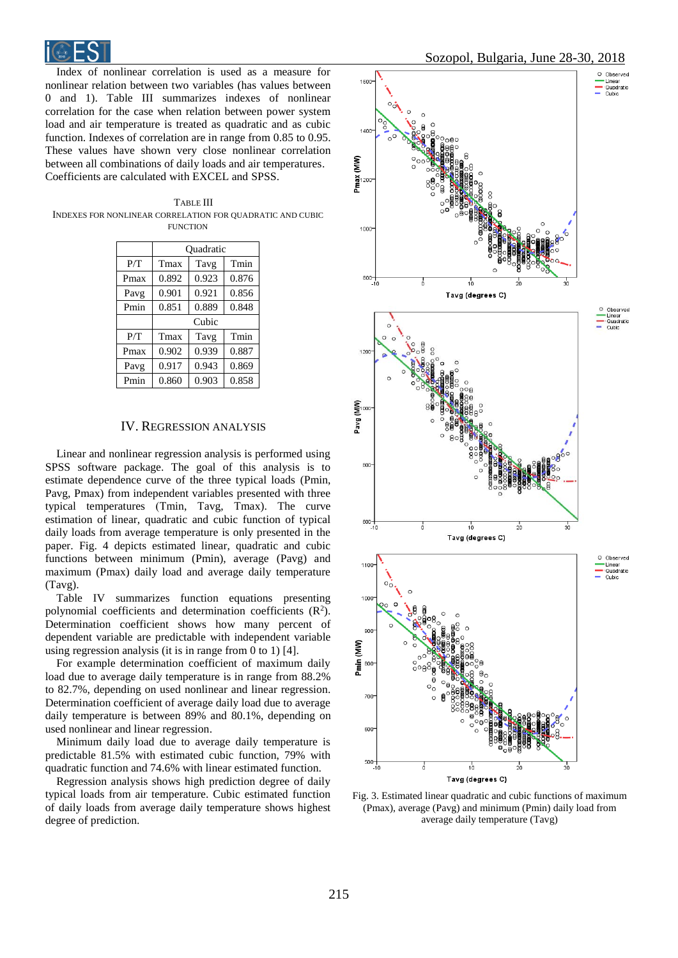

Index of nonlinear correlation is used as a measure for nonlinear relation between two variables (has values between 0 and 1). Table III summarizes indexes of nonlinear correlation for the case when relation between power system load and air temperature is treated as quadratic and as cubic function. Indexes of correlation are in range from 0.85 to 0.95. These values have shown very close nonlinear correlation between all combinations of daily loads and air temperatures. Coefficients are calculated with EXCEL and SPSS.

| TABLE III                                                 |
|-----------------------------------------------------------|
| INDEXES FOR NONLINEAR CORRELATION FOR OUADRATIC AND CUBIC |
| <b>FUNCTION</b>                                           |

|      | Ouadratic |       |       |  |
|------|-----------|-------|-------|--|
| P/T  | Tmax      | Tavg  | Tmin  |  |
| Pmax | 0.892     | 0.923 | 0.876 |  |
| Pavg | 0.901     | 0.921 | 0.856 |  |
| Pmin | 0.851     | 0.889 | 0.848 |  |
|      | Cubic     |       |       |  |
| P/T  | Tmax      | Tavg  | Tmin  |  |
| Pmax | 0.902     | 0.939 | 0.887 |  |
| Pavg | 0.917     | 0.943 | 0.869 |  |
| Pmin | 0.860     | 0.903 | 0.858 |  |

### IV. REGRESSION ANALYSIS

Linear and nonlinear regression analysis is performed using SPSS software package. The goal of this analysis is to estimate dependence curve of the three typical loads (Pmin, Pavg, Pmax) from independent variables presented with three typical temperatures (Тmin, Тavg, Тmax). The curve estimation of linear, quadratic and cubic function of typical daily loads from average temperature is only presented in the paper. Fig. 4 depicts estimated linear, quadratic and cubic functions between minimum (Pmin), average (Pavg) and maximum (Pmax) daily load and average daily temperature (Tavg).

Table IV summarizes function equations presenting polynomial coefficients and determination coefficients  $(R^2)$ . Determination coefficient shows how many percent of dependent variable are predictable with independent variable using regression analysis (it is in range from 0 to 1) [4].

For example determination coefficient of maximum daily load due to average daily temperature is in range from 88.2% to 82.7%, depending on used nonlinear and linear regression. Determination coefficient of average daily load due to average daily temperature is between 89% and 80.1%, depending on used nonlinear and linear regression.

Minimum daily load due to average daily temperature is predictable 81.5% with estimated cubic function, 79% with quadratic function and 74.6% with linear estimated function.

Regression analysis shows high prediction degree of daily typical loads from air temperature. Cubic estimated function of daily loads from average daily temperature shows highest degree of prediction.



Fig. 3. Estimated linear quadratic and cubic functions of maximum (Pmax), average (Pavg) and minimum (Pmin) daily load from average daily temperature (Tavg)